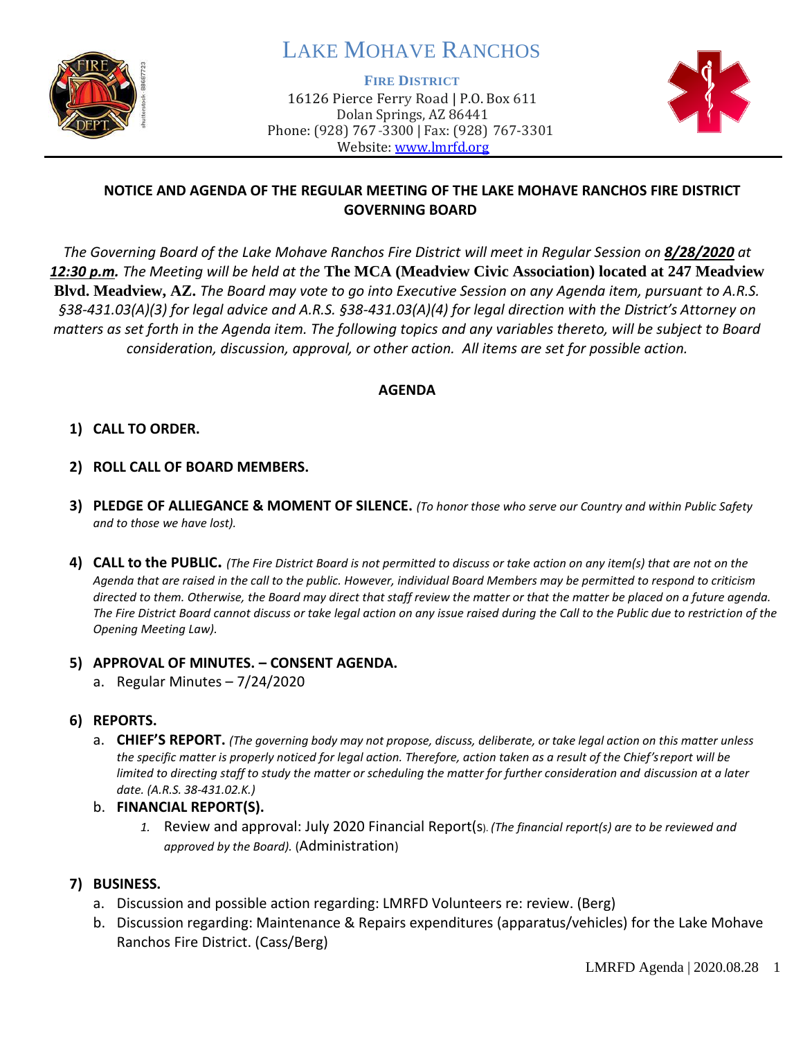

# LAKE MOHAVE RANCHOS

**FIRE DISTRICT**

16126 Pierce Ferry Road | P.O. Box 611 Dolan Springs, AZ 86441 Phone: (928) 767-3300 | Fax: (928) 767-3301 Website: [www.lmrfd.org](http://www.lmrfd.org/)



#### **NOTICE AND AGENDA OF THE REGULAR MEETING OF THE LAKE MOHAVE RANCHOS FIRE DISTRICT GOVERNING BOARD**

*The Governing Board of the Lake Mohave Ranchos Fire District will meet in Regular Session on 8/28/2020 at 12:30 p.m. The Meeting will be held at the* **The MCA (Meadview Civic Association) located at 247 Meadview Blvd. Meadview, AZ.** *The Board may vote to go into Executive Session on any Agenda item, pursuant to A.R.S. §38-431.03(A)(3) for legal advice and A.R.S. §38-431.03(A)(4) for legal direction with the District's Attorney on matters as set forth in the Agenda item. The following topics and any variables thereto, will be subject to Board consideration, discussion, approval, or other action. All items are set for possible action.* 

#### **AGENDA**

#### **1) CALL TO ORDER.**

- **2) ROLL CALL OF BOARD MEMBERS.**
- **3) PLEDGE OF ALLIEGANCE & MOMENT OF SILENCE.** *(To honor those who serve our Country and within Public Safety and to those we have lost).*
- **4) CALL to the PUBLIC.** *(The Fire District Board is not permitted to discuss or take action on any item(s) that are not on the Agenda that are raised in the call to the public. However, individual Board Members may be permitted to respond to criticism directed to them. Otherwise, the Board may direct that staff review the matter or that the matter be placed on a future agenda.*  The Fire District Board cannot discuss or take legal action on any issue raised during the Call to the Public due to restriction of the *Opening Meeting Law).*

#### **5) APPROVAL OF MINUTES. – CONSENT AGENDA.**

a. Regular Minutes – 7/24/2020

#### **6) REPORTS.**

- a. **CHIEF'S REPORT.** *(The governing body may not propose, discuss, deliberate, or take legal action on this matter unless the specific matter is properly noticed for legal action. Therefore, action taken as a result of the Chief's report will be limited to directing staff to study the matter or scheduling the matter for further consideration and discussion at a later date. (A.R.S. 38-431.02.K.)*
- b. **FINANCIAL REPORT(S).**
	- *1.* Review and approval: July 2020 Financial Report(s). *(The financial report(s) are to be reviewed and approved by the Board).* (Administration)

#### **7) BUSINESS.**

- a. Discussion and possible action regarding: LMRFD Volunteers re: review. (Berg)
- b. Discussion regarding: Maintenance & Repairs expenditures (apparatus/vehicles) for the Lake Mohave Ranchos Fire District. (Cass/Berg)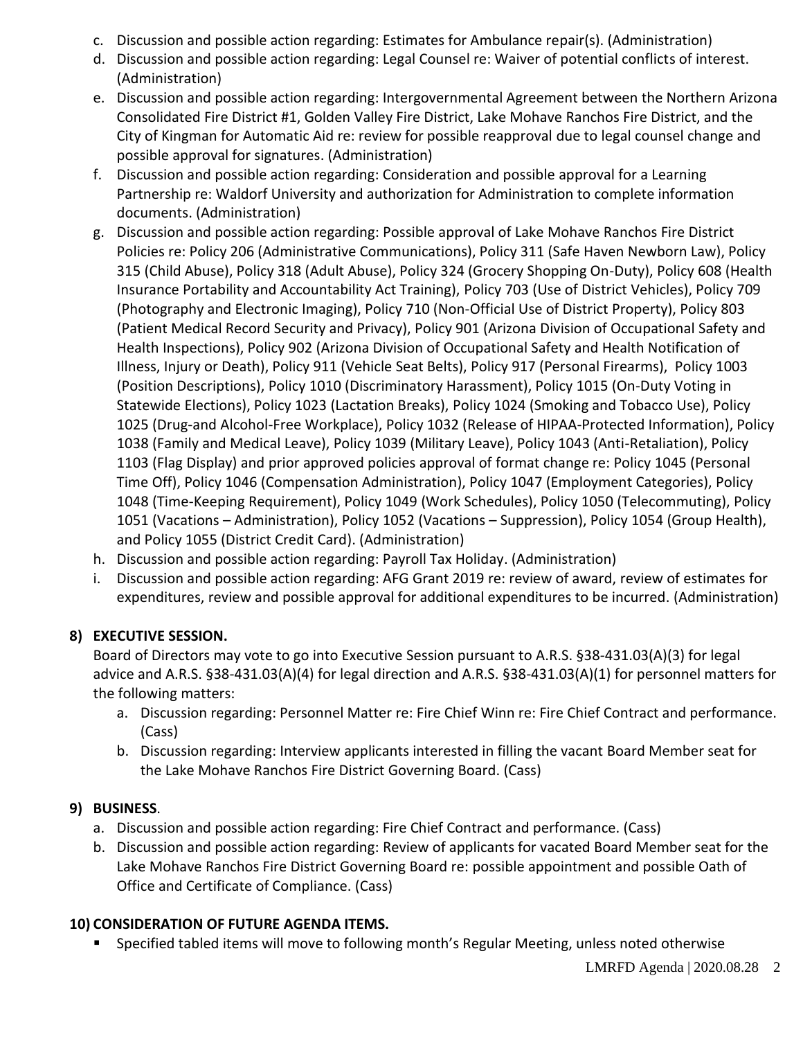- c. Discussion and possible action regarding: Estimates for Ambulance repair(s). (Administration)
- d. Discussion and possible action regarding: Legal Counsel re: Waiver of potential conflicts of interest. (Administration)
- e. Discussion and possible action regarding: Intergovernmental Agreement between the Northern Arizona Consolidated Fire District #1, Golden Valley Fire District, Lake Mohave Ranchos Fire District, and the City of Kingman for Automatic Aid re: review for possible reapproval due to legal counsel change and possible approval for signatures. (Administration)
- f. Discussion and possible action regarding: Consideration and possible approval for a Learning Partnership re: Waldorf University and authorization for Administration to complete information documents. (Administration)
- g. Discussion and possible action regarding: Possible approval of Lake Mohave Ranchos Fire District Policies re: Policy 206 (Administrative Communications), Policy 311 (Safe Haven Newborn Law), Policy 315 (Child Abuse), Policy 318 (Adult Abuse), Policy 324 (Grocery Shopping On-Duty), Policy 608 (Health Insurance Portability and Accountability Act Training), Policy 703 (Use of District Vehicles), Policy 709 (Photography and Electronic Imaging), Policy 710 (Non-Official Use of District Property), Policy 803 (Patient Medical Record Security and Privacy), Policy 901 (Arizona Division of Occupational Safety and Health Inspections), Policy 902 (Arizona Division of Occupational Safety and Health Notification of Illness, Injury or Death), Policy 911 (Vehicle Seat Belts), Policy 917 (Personal Firearms), Policy 1003 (Position Descriptions), Policy 1010 (Discriminatory Harassment), Policy 1015 (On-Duty Voting in Statewide Elections), Policy 1023 (Lactation Breaks), Policy 1024 (Smoking and Tobacco Use), Policy 1025 (Drug-and Alcohol-Free Workplace), Policy 1032 (Release of HIPAA-Protected Information), Policy 1038 (Family and Medical Leave), Policy 1039 (Military Leave), Policy 1043 (Anti-Retaliation), Policy 1103 (Flag Display) and prior approved policies approval of format change re: Policy 1045 (Personal Time Off), Policy 1046 (Compensation Administration), Policy 1047 (Employment Categories), Policy 1048 (Time-Keeping Requirement), Policy 1049 (Work Schedules), Policy 1050 (Telecommuting), Policy 1051 (Vacations – Administration), Policy 1052 (Vacations – Suppression), Policy 1054 (Group Health), and Policy 1055 (District Credit Card). (Administration)
- h. Discussion and possible action regarding: Payroll Tax Holiday. (Administration)
- i. Discussion and possible action regarding: AFG Grant 2019 re: review of award, review of estimates for expenditures, review and possible approval for additional expenditures to be incurred. (Administration)

## **8) EXECUTIVE SESSION.**

Board of Directors may vote to go into Executive Session pursuant to A.R.S. §38-431.03(A)(3) for legal advice and A.R.S. §38-431.03(A)(4) for legal direction and A.R.S. §38-431.03(A)(1) for personnel matters for the following matters:

- a. Discussion regarding: Personnel Matter re: Fire Chief Winn re: Fire Chief Contract and performance. (Cass)
- b. Discussion regarding: Interview applicants interested in filling the vacant Board Member seat for the Lake Mohave Ranchos Fire District Governing Board. (Cass)

## **9) BUSINESS**.

- a. Discussion and possible action regarding: Fire Chief Contract and performance. (Cass)
- b. Discussion and possible action regarding: Review of applicants for vacated Board Member seat for the Lake Mohave Ranchos Fire District Governing Board re: possible appointment and possible Oath of Office and Certificate of Compliance. (Cass)

# **10) CONSIDERATION OF FUTURE AGENDA ITEMS.**

Specified tabled items will move to following month's Regular Meeting, unless noted otherwise